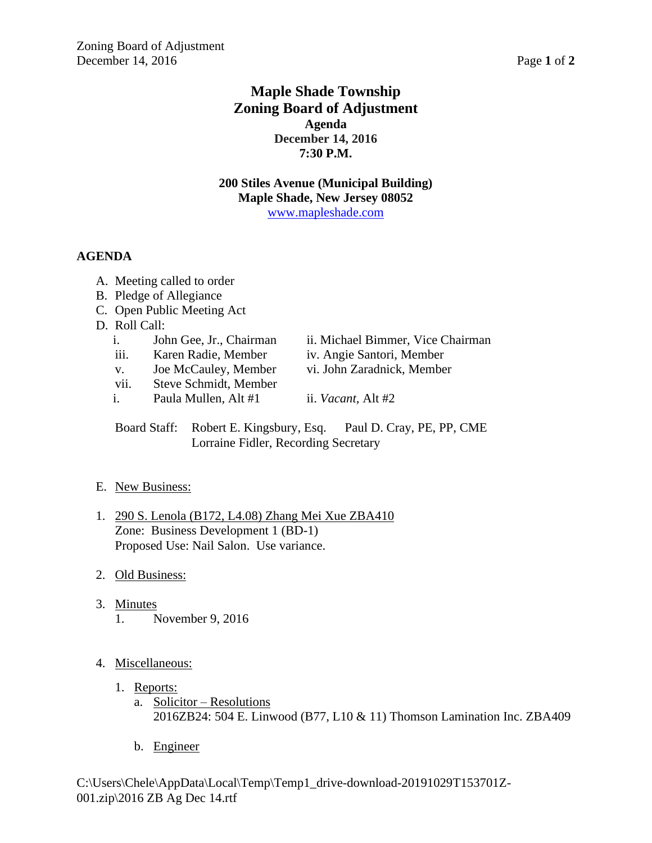# **Maple Shade Township Zoning Board of Adjustment Agenda December 14, 2016 7:30 P.M.**

**200 Stiles Avenue (Municipal Building) Maple Shade, New Jersey 08052** [www.mapleshade.com](http://www.mapleshade.com/)

## **AGENDA**

- A. Meeting called to order
- B. Pledge of Allegiance
- C. Open Public Meeting Act
- D. Roll Call:
	- i. John Gee, Jr., Chairman ii. Michael Bimmer, Vice Chairman
	- iii. Karen Radie, Member iv. Angie Santori, Member
	- v. Joe McCauley, Member vi. John Zaradnick, Member
	- vii. Steve Schmidt, Member
- 
- i. Paula Mullen, Alt #1 ii. *Vacant*, Alt #2

Board Staff: Robert E. Kingsbury, Esq. Paul D. Cray, PE, PP, CME Lorraine Fidler, Recording Secretary

## E. New Business:

- 1. 290 S. Lenola (B172, L4.08) Zhang Mei Xue ZBA410 Zone: Business Development 1 (BD-1) Proposed Use: Nail Salon. Use variance.
- 2. Old Business:
- 3. Minutes 1. November 9, 2016

## 4. Miscellaneous:

- 1. Reports:
	- a. Solicitor Resolutions 2016ZB24: 504 E. Linwood (B77, L10 & 11) Thomson Lamination Inc. ZBA409
	- b. Engineer

C:\Users\Chele\AppData\Local\Temp\Temp1\_drive-download-20191029T153701Z-001.zip\2016 ZB Ag Dec 14.rtf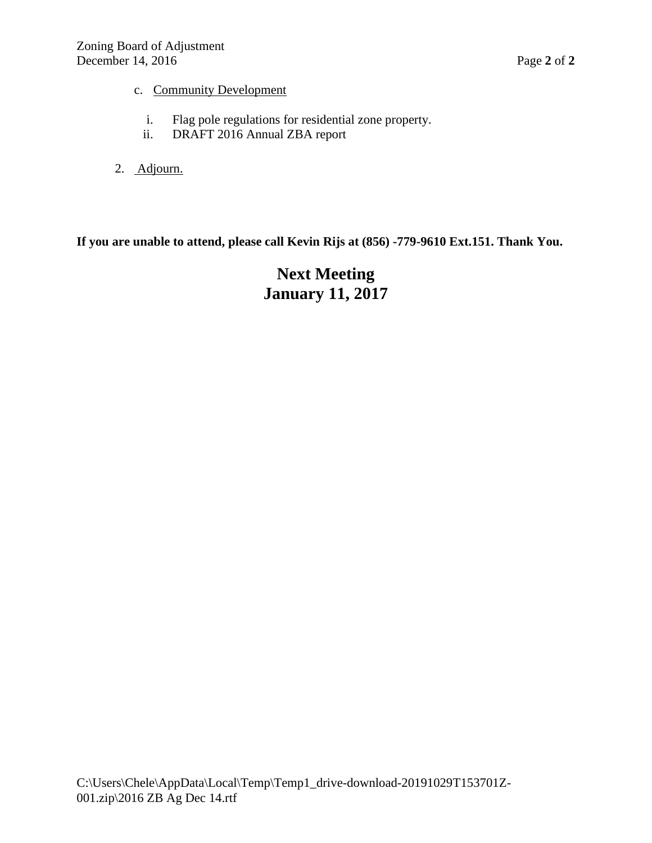- c. Community Development
	- i. Flag pole regulations for residential zone property.
	- ii. DRAFT 2016 Annual ZBA report
- 2. Adjourn.

# **If you are unable to attend, please call Kevin Rijs at (856) -779-9610 Ext.151. Thank You.**

# **Next Meeting January 11, 2017**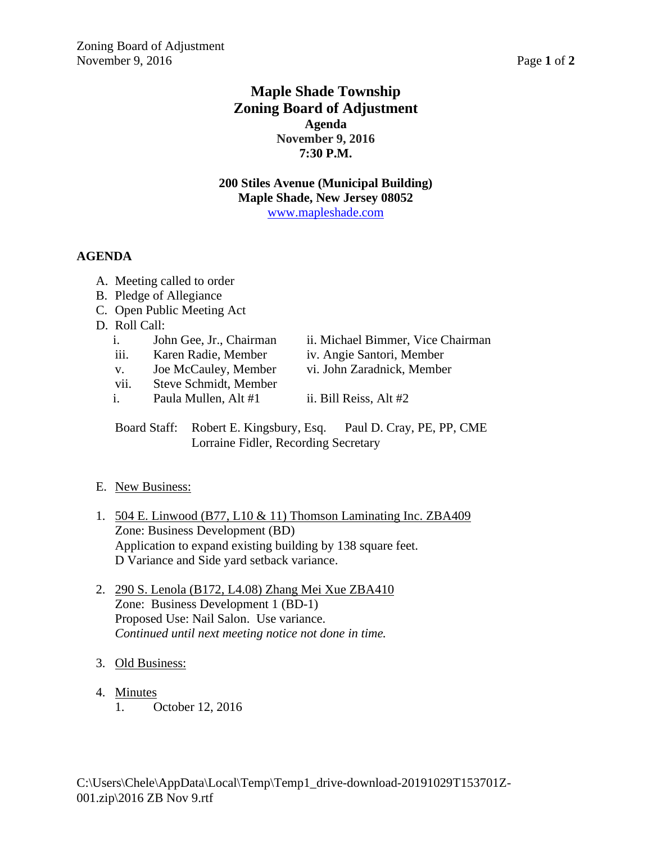# **Maple Shade Township Zoning Board of Adjustment Agenda November 9, 2016 7:30 P.M.**

**200 Stiles Avenue (Municipal Building) Maple Shade, New Jersey 08052** [www.mapleshade.com](http://www.mapleshade.com/)

## **AGENDA**

- A. Meeting called to order
- B. Pledge of Allegiance
- C. Open Public Meeting Act
- D. Roll Call:
	- i. John Gee, Jr., Chairman ii. Michael Bimmer, Vice Chairman
	- iii. Karen Radie, Member iv. Angie Santori, Member
	- v. Joe McCauley, Member vi. John Zaradnick, Member
	- vii. Steve Schmidt, Member
- - i. Paula Mullen, Alt  $#1$  ii. Bill Reiss, Alt  $#2$
	- Board Staff: Robert E. Kingsbury, Esq. Paul D. Cray, PE, PP, CME Lorraine Fidler, Recording Secretary

## E. New Business:

- 1. 504 E. Linwood (B77, L10 & 11) Thomson Laminating Inc. ZBA409 Zone: Business Development (BD) Application to expand existing building by 138 square feet. D Variance and Side yard setback variance.
- 2. 290 S. Lenola (B172, L4.08) Zhang Mei Xue ZBA410 Zone: Business Development 1 (BD-1) Proposed Use: Nail Salon. Use variance. *Continued until next meeting notice not done in time.*
- 3. Old Business:
- 4. Minutes
	- 1. October 12, 2016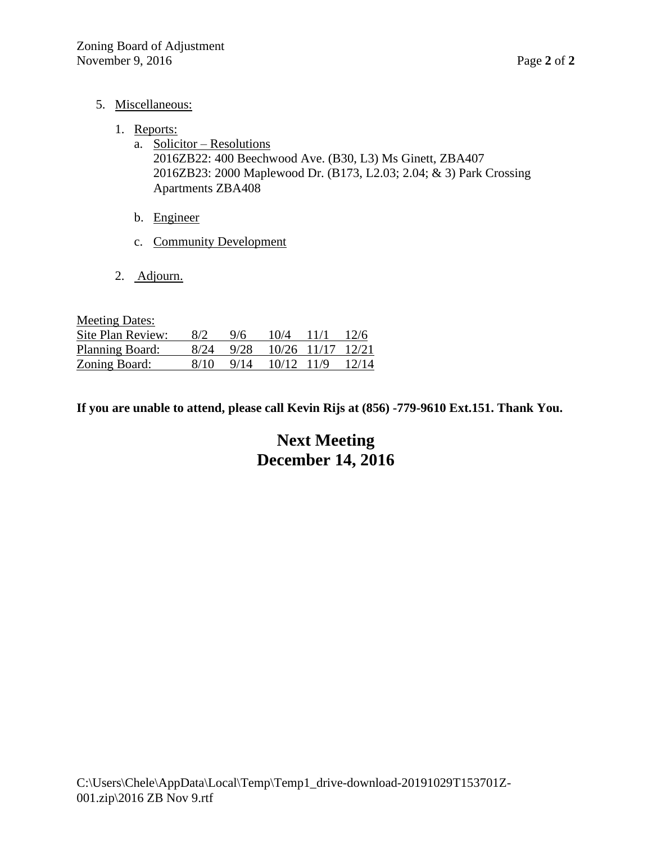- 5. Miscellaneous:
	- 1. Reports:
		- a. Solicitor Resolutions 2016ZB22: 400 Beechwood Ave. (B30, L3) Ms Ginett, ZBA407 2016ZB23: 2000 Maplewood Dr. (B173, L2.03; 2.04; & 3) Park Crossing Apartments ZBA408
		- b. Engineer
		- c. Community Development
	- 2. Adjourn.

| <b>Meeting Dates:</b> |      |      |       |             |       |
|-----------------------|------|------|-------|-------------|-------|
| Site Plan Review:     | 8/2  | 9/6  | 10/4  | 11/1        | 12/6  |
| Planning Board:       | 8/24 | 9/28 |       | 10/26 11/17 | 12/21 |
| Zoning Board:         | 8/10 | 9/14 | 10/12 | 11/9        | 12/14 |

**If you are unable to attend, please call Kevin Rijs at (856) -779-9610 Ext.151. Thank You.**

# **Next Meeting December 14, 2016**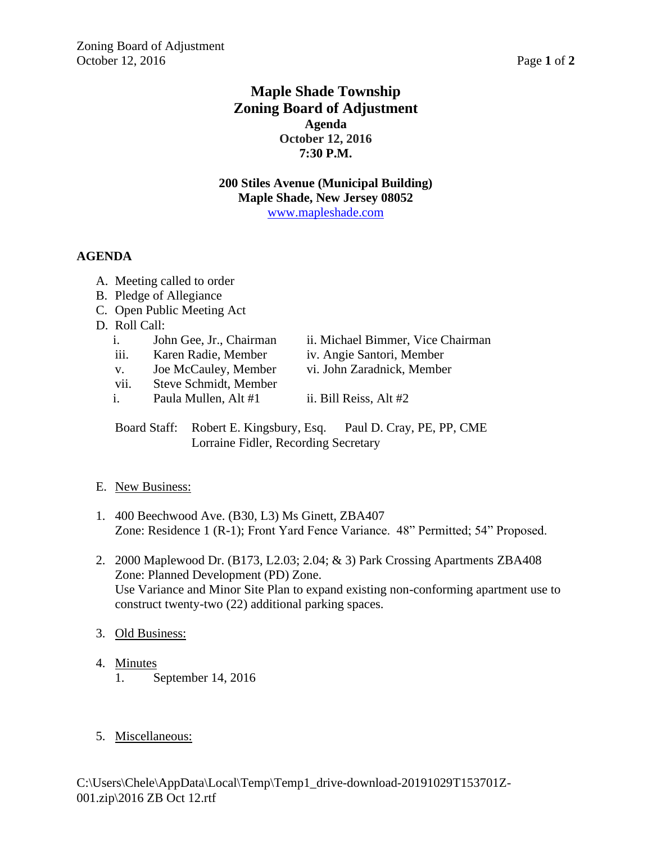# **Maple Shade Township Zoning Board of Adjustment Agenda October 12, 2016 7:30 P.M.**

**200 Stiles Avenue (Municipal Building) Maple Shade, New Jersey 08052** [www.mapleshade.com](http://www.mapleshade.com/)

## **AGENDA**

- A. Meeting called to order
- B. Pledge of Allegiance
- C. Open Public Meeting Act
- D. Roll Call:
	-
	- iii. Karen Radie, Member iv. Angie Santori, Member
	- v. Joe McCauley, Member vi. John Zaradnick, Member
	- vii. Steve Schmidt, Member

i. John Gee, Jr., Chairman ii. Michael Bimmer, Vice Chairman<br>iii. Karen Radie, Member iv. Angie Santori, Member

- 
- i. Paula Mullen, Alt  $#1$  ii. Bill Reiss, Alt  $#2$

Board Staff: Robert E. Kingsbury, Esq. Paul D. Cray, PE, PP, CME Lorraine Fidler, Recording Secretary

## E. New Business:

- 1. 400 Beechwood Ave. (B30, L3) Ms Ginett, ZBA407 Zone: Residence 1 (R-1); Front Yard Fence Variance. 48" Permitted; 54" Proposed.
- 2. 2000 Maplewood Dr. (B173, L2.03; 2.04; & 3) Park Crossing Apartments ZBA408 Zone: Planned Development (PD) Zone. Use Variance and Minor Site Plan to expand existing non-conforming apartment use to construct twenty-two (22) additional parking spaces.
- 3. Old Business:
- 4. Minutes 1. September 14, 2016
- 5. Miscellaneous: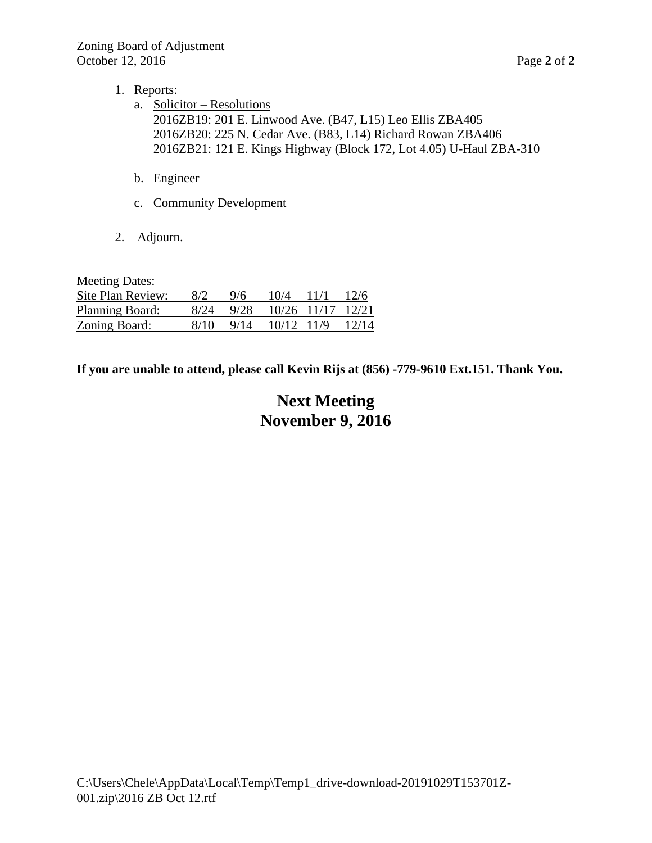- 1. Reports:
	- a. Solicitor Resolutions 2016ZB19: 201 E. Linwood Ave. (B47, L15) Leo Ellis ZBA405 2016ZB20: 225 N. Cedar Ave. (B83, L14) Richard Rowan ZBA406 2016ZB21: 121 E. Kings Highway (Block 172, Lot 4.05) U-Haul ZBA-310
	- b. Engineer
	- c. Community Development
- 2. Adjourn.

Meeting Dates: Site Plan Review: 8/2 9/6 10/4 11/1 12/6 Planning Board: 8/24 9/28 10/26 11/17 12/21 Zoning Board: 8/10 9/14 10/12 11/9 12/14

**If you are unable to attend, please call Kevin Rijs at (856) -779-9610 Ext.151. Thank You.**

# **Next Meeting November 9, 2016**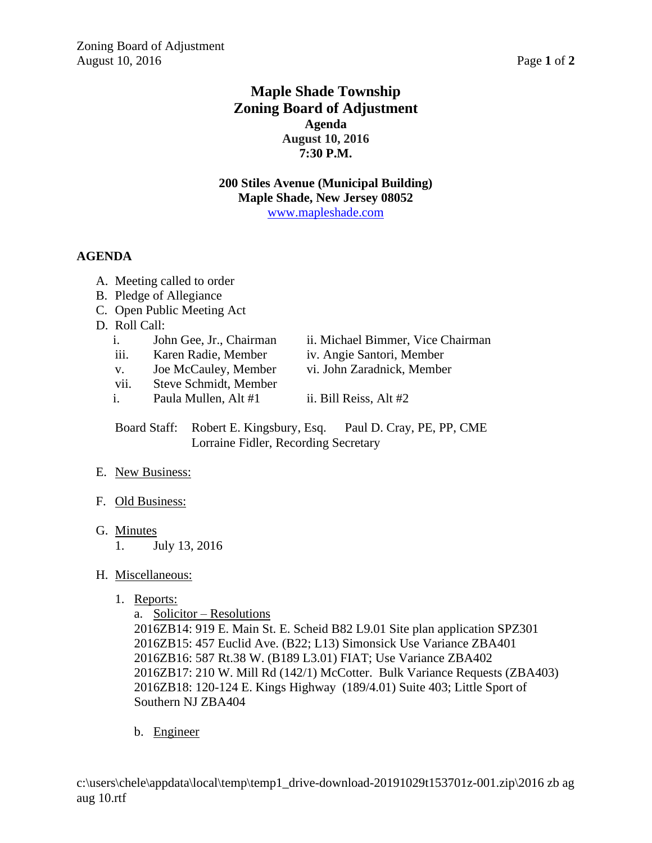# **Maple Shade Township Zoning Board of Adjustment Agenda August 10, 2016 7:30 P.M.**

**200 Stiles Avenue (Municipal Building) Maple Shade, New Jersey 08052** [www.mapleshade.com](http://www.mapleshade.com/)

## **AGENDA**

- A. Meeting called to order
- B. Pledge of Allegiance
- C. Open Public Meeting Act
- D. Roll Call:
	- i. John Gee, Jr., Chairman ii. Michael Bimmer, Vice Chairman
	- iii. Karen Radie, Member iv. Angie Santori, Member
	- v. Joe McCauley, Member vi. John Zaradnick, Member
	- vii. Steve Schmidt, Member
	- i. Paula Mullen, Alt  $#1$  ii. Bill Reiss, Alt  $#2$

- 
- 

Board Staff: Robert E. Kingsbury, Esq. Paul D. Cray, PE, PP, CME Lorraine Fidler, Recording Secretary

## E. New Business:

- F. Old Business:
- G. Minutes
	- 1. July 13, 2016

## H. Miscellaneous:

1. Reports:

a. Solicitor – Resolutions

2016ZB14: 919 E. Main St. E. Scheid B82 L9.01 Site plan application SPZ301 2016ZB15: 457 Euclid Ave. (B22; L13) Simonsick Use Variance ZBA401 2016ZB16: 587 Rt.38 W. (B189 L3.01) FIAT; Use Variance ZBA402 2016ZB17: 210 W. Mill Rd (142/1) McCotter. Bulk Variance Requests (ZBA403) 2016ZB18: 120-124 E. Kings Highway (189/4.01) Suite 403; Little Sport of Southern NJ ZBA404

b. Engineer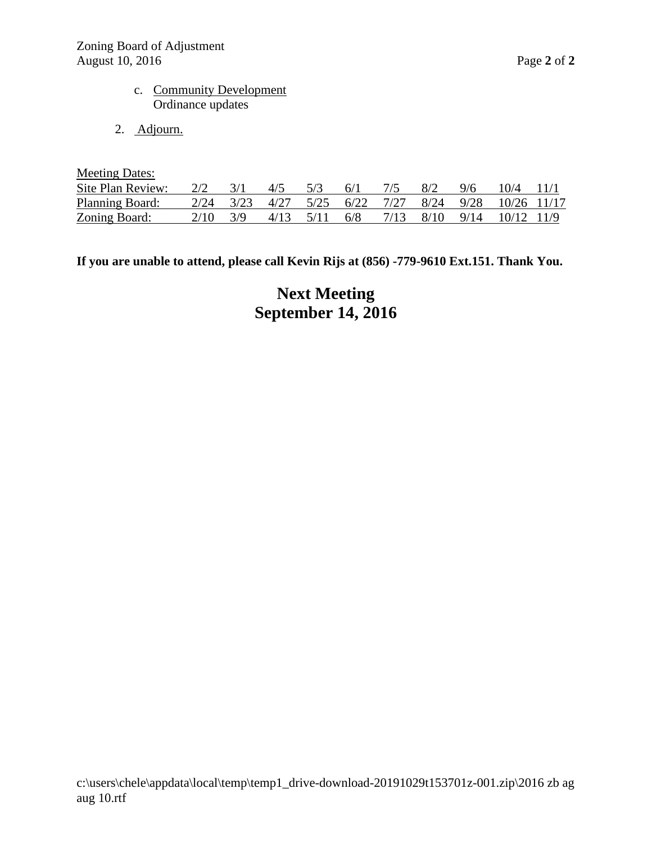- c. Community Development Ordinance updates
- 2. Adjourn.

| <b>Meeting Dates:</b> |      |      |      |      |      |      |      |      |             |  |
|-----------------------|------|------|------|------|------|------|------|------|-------------|--|
| Site Plan Review:     | 2/2  |      | 4/5  | 5/3  | 6/1  |      | 8/2  | 9/6  | 10/4        |  |
| Planning Board:       | 2/24 | 3/23 | 4/27 | 5/25 | 6/22 | 7/27 | 8/24 | 9/28 | 10/26 11/17 |  |
| Zoning Board:         | 2/10 | 3/Q  | 4/13 | 5/11 | 6/8  | 7/13 | 8/10 | 9/14 | 10/12 11/9  |  |

**If you are unable to attend, please call Kevin Rijs at (856) -779-9610 Ext.151. Thank You.**

**Next Meeting September 14, 2016**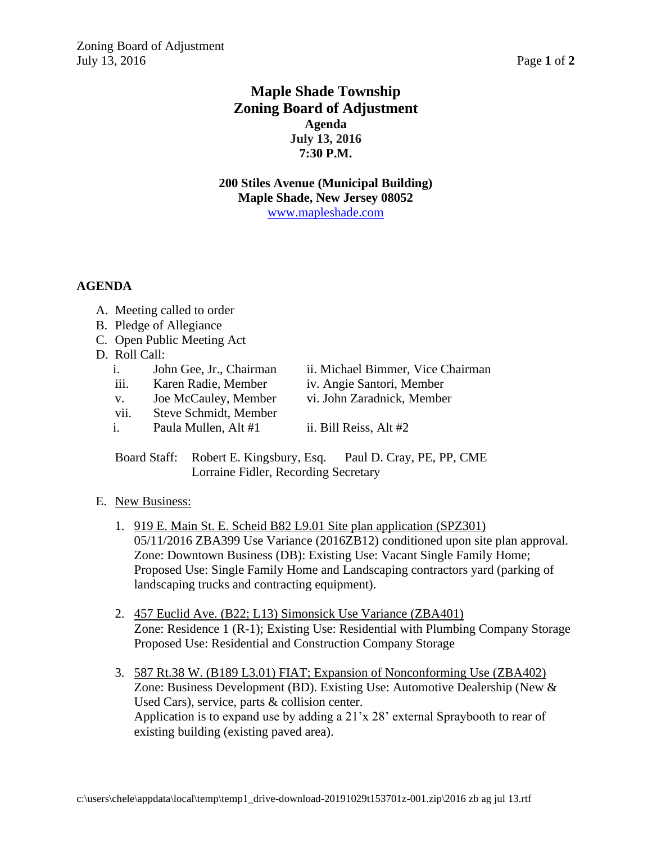# **Maple Shade Township Zoning Board of Adjustment Agenda July 13, 2016 7:30 P.M.**

**200 Stiles Avenue (Municipal Building) Maple Shade, New Jersey 08052** [www.mapleshade.com](http://www.mapleshade.com/)

### **AGENDA**

- A. Meeting called to order
- B. Pledge of Allegiance
- C. Open Public Meeting Act
- D. Roll Call:
	- i. John Gee, Jr., Chairman ii. Michael Bimmer, Vice Chairman
	- iii. Karen Radie, Member iv. Angie Santori, Member
	- v. Joe McCauley, Member vi. John Zaradnick, Member
	- vii. Steve Schmidt, Member
		-
	- i. Paula Mullen, Alt  $#1$  ii. Bill Reiss, Alt  $#2$
- - Board Staff: Robert E. Kingsbury, Esq. Paul D. Cray, PE, PP, CME Lorraine Fidler, Recording Secretary
- E. New Business:
	- 1. 919 E. Main St. E. Scheid B82 L9.01 Site plan application (SPZ301) 05/11/2016 ZBA399 Use Variance (2016ZB12) conditioned upon site plan approval. Zone: Downtown Business (DB): Existing Use: Vacant Single Family Home; Proposed Use: Single Family Home and Landscaping contractors yard (parking of landscaping trucks and contracting equipment).
	- 2. 457 Euclid Ave. (B22; L13) Simonsick Use Variance (ZBA401) Zone: Residence 1 (R-1); Existing Use: Residential with Plumbing Company Storage Proposed Use: Residential and Construction Company Storage
	- 3. 587 Rt.38 W. (B189 L3.01) FIAT; Expansion of Nonconforming Use (ZBA402) Zone: Business Development (BD). Existing Use: Automotive Dealership (New & Used Cars), service, parts & collision center. Application is to expand use by adding a 21'x 28' external Spraybooth to rear of existing building (existing paved area).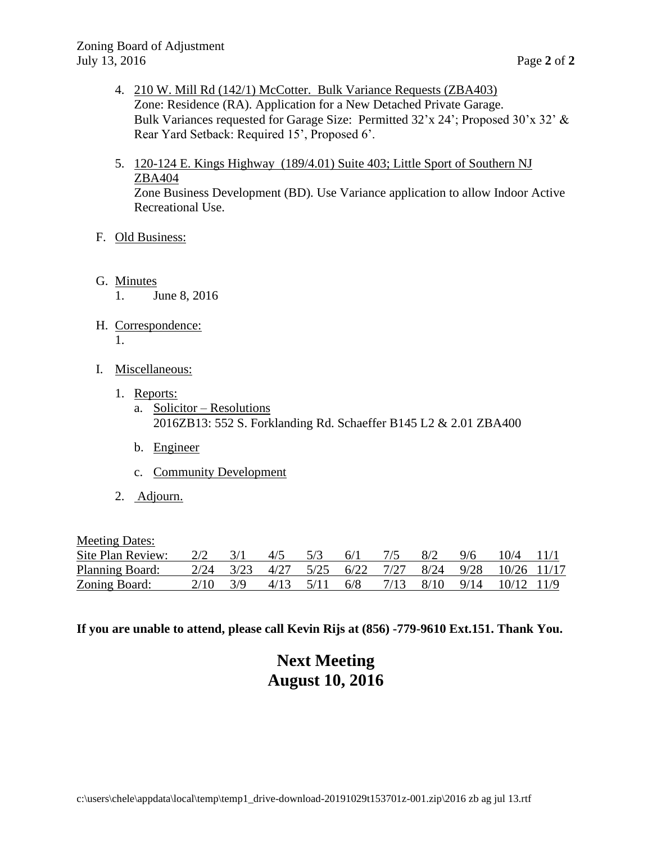- 4. 210 W. Mill Rd (142/1) McCotter. Bulk Variance Requests (ZBA403) Zone: Residence (RA). Application for a New Detached Private Garage. Bulk Variances requested for Garage Size: Permitted 32'x 24'; Proposed 30'x 32' & Rear Yard Setback: Required 15', Proposed 6'.
- 5. 120-124 E. Kings Highway (189/4.01) Suite 403; Little Sport of Southern NJ ZBA404

Zone Business Development (BD). Use Variance application to allow Indoor Active Recreational Use.

### F. Old Business:

- G. Minutes 1. June 8, 2016
- H. Correspondence: 1.
- I. Miscellaneous:
	- 1. Reports:
		- a. Solicitor Resolutions 2016ZB13: 552 S. Forklanding Rd. Schaeffer B145 L2 & 2.01 ZBA400
		- b. Engineer
		- c. Community Development
	- 2. Adjourn.

Meeting Dates:

| Site Plan Review:      | $2/2$ $3/1$  | $4/5$ $5/3$ $6/1$ |  | 7/5 8/2 |  | $9/6$ $10/4$ $11/1$                                 |  |
|------------------------|--------------|-------------------|--|---------|--|-----------------------------------------------------|--|
| <b>Planning Board:</b> |              |                   |  |         |  | 2/24 3/23 4/27 5/25 6/22 7/27 8/24 9/28 10/26 11/17 |  |
| <u>Zoning Board:</u>   | $2/10$ $3/9$ |                   |  |         |  | 4/13 5/11 6/8 7/13 8/10 9/14 10/12 11/9             |  |

**If you are unable to attend, please call Kevin Rijs at (856) -779-9610 Ext.151. Thank You.**

# **Next Meeting August 10, 2016**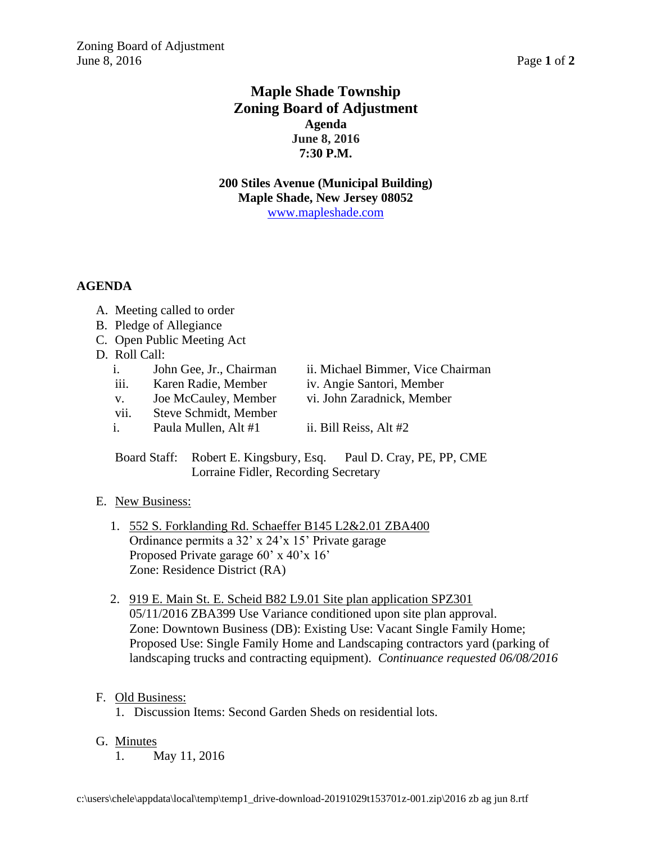# **Maple Shade Township Zoning Board of Adjustment Agenda June 8, 2016 7:30 P.M.**

**200 Stiles Avenue (Municipal Building) Maple Shade, New Jersey 08052** [www.mapleshade.com](http://www.mapleshade.com/)

### **AGENDA**

- A. Meeting called to order
- B. Pledge of Allegiance
- C. Open Public Meeting Act
- D. Roll Call:
	- i. John Gee, Jr., Chairman ii. Michael Bimmer, Vice Chairman
	- iii. Karen Radie, Member iv. Angie Santori, Member
	- v. Joe McCauley, Member vi. John Zaradnick, Member
	- vii. Steve Schmidt, Member
	- i. Paula Mullen, Alt  $#1$  ii. Bill Reiss, Alt  $#2$

Board Staff: Robert E. Kingsbury, Esq. Paul D. Cray, PE, PP, CME Lorraine Fidler, Recording Secretary

#### E. New Business:

- 1. 552 S. Forklanding Rd. Schaeffer B145 L2&2.01 ZBA400 Ordinance permits a 32' x 24'x 15' Private garage Proposed Private garage 60' x 40'x 16' Zone: Residence District (RA)
- 2. 919 E. Main St. E. Scheid B82 L9.01 Site plan application SPZ301 05/11/2016 ZBA399 Use Variance conditioned upon site plan approval. Zone: Downtown Business (DB): Existing Use: Vacant Single Family Home; Proposed Use: Single Family Home and Landscaping contractors yard (parking of landscaping trucks and contracting equipment). *Continuance requested 06/08/2016*

#### F. Old Business:

- 1. Discussion Items: Second Garden Sheds on residential lots.
- G. Minutes
	- 1. May 11, 2016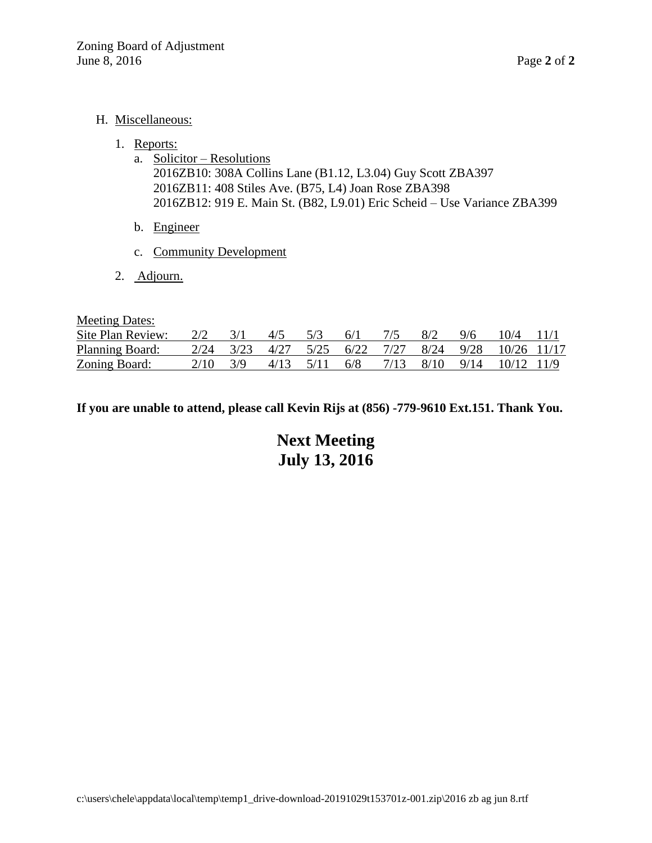#### H. Miscellaneous:

- 1. Reports:
	- a. Solicitor Resolutions 2016ZB10: 308A Collins Lane (B1.12, L3.04) Guy Scott ZBA397 2016ZB11: 408 Stiles Ave. (B75, L4) Joan Rose ZBA398 2016ZB12: 919 E. Main St. (B82, L9.01) Eric Scheid – Use Variance ZBA399
	- b. Engineer
	- c. Community Development
- 2. Adjourn.

Meeting Dates:

| Site Plan Review:      |          |                     |  |  | $\frac{2}{2}$ $\frac{3}{1}$ $\frac{4}{5}$ $\frac{5}{3}$ $\frac{6}{1}$ $\frac{7}{5}$ $\frac{8}{2}$ $\frac{9}{6}$ $\frac{10}{4}$ $\frac{11}{1}$ |  |
|------------------------|----------|---------------------|--|--|-----------------------------------------------------------------------------------------------------------------------------------------------|--|
| <b>Planning Board:</b> |          |                     |  |  | 2/24 3/23 4/27 5/25 6/22 7/27 8/24 9/28 10/26 11/17                                                                                           |  |
| <b>Zoning Board:</b>   | 2/10 3/9 | $4/13$ $5/11$ $6/8$ |  |  | 7/13 8/10 9/14 10/12 11/9                                                                                                                     |  |

**If you are unable to attend, please call Kevin Rijs at (856) -779-9610 Ext.151. Thank You.**

**Next Meeting July 13, 2016**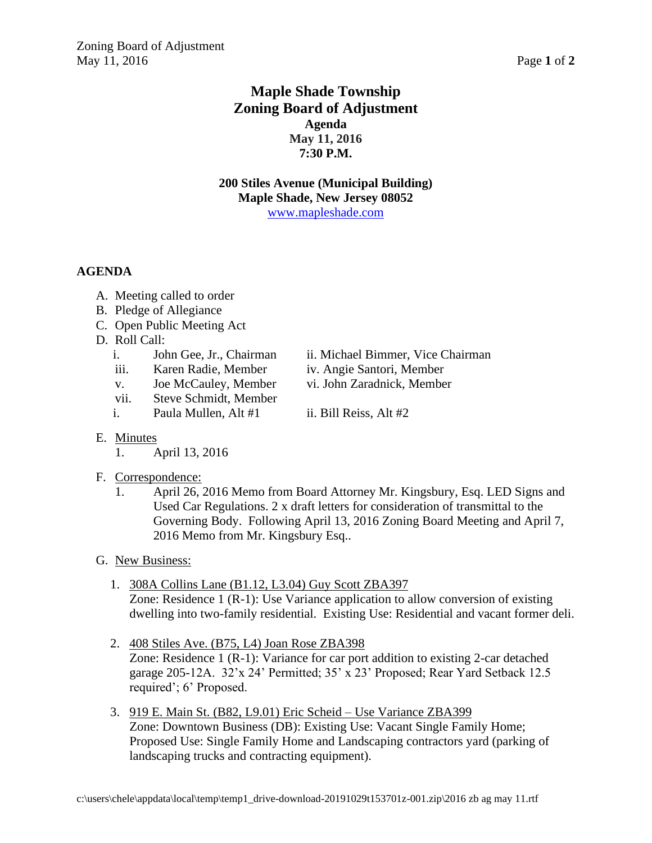# **Maple Shade Township Zoning Board of Adjustment Agenda May 11, 2016 7:30 P.M.**

**200 Stiles Avenue (Municipal Building) Maple Shade, New Jersey 08052** [www.mapleshade.com](http://www.mapleshade.com/)

### **AGENDA**

- A. Meeting called to order
- B. Pledge of Allegiance
- C. Open Public Meeting Act
- D. Roll Call:
	-
	- iii. Karen Radie, Member iv. Angie Santori, Member
	- v. Joe McCauley, Member vi. John Zaradnick, Member
	- vii. Steve Schmidt, Member
	- i. Paula Mullen, Alt  $#1$  ii. Bill Reiss, Alt  $#2$
	- i. John Gee, Jr., Chairman ii. Michael Bimmer, Vice Chairman
		-
		-
		-

- E. Minutes
	- 1. April 13, 2016

## F. Correspondence:

- 1. April 26, 2016 Memo from Board Attorney Mr. Kingsbury, Esq. LED Signs and Used Car Regulations. 2 x draft letters for consideration of transmittal to the Governing Body. Following April 13, 2016 Zoning Board Meeting and April 7, 2016 Memo from Mr. Kingsbury Esq..
- G. New Business:
	- 1. 308A Collins Lane (B1.12, L3.04) Guy Scott ZBA397

Zone: Residence 1 (R-1): Use Variance application to allow conversion of existing dwelling into two-family residential. Existing Use: Residential and vacant former deli.

- 2. 408 Stiles Ave. (B75, L4) Joan Rose ZBA398 Zone: Residence 1 (R-1): Variance for car port addition to existing 2-car detached garage 205-12A. 32'x 24' Permitted; 35' x 23' Proposed; Rear Yard Setback 12.5 required'; 6' Proposed.
- 3. 919 E. Main St. (B82, L9.01) Eric Scheid Use Variance ZBA399 Zone: Downtown Business (DB): Existing Use: Vacant Single Family Home; Proposed Use: Single Family Home and Landscaping contractors yard (parking of landscaping trucks and contracting equipment).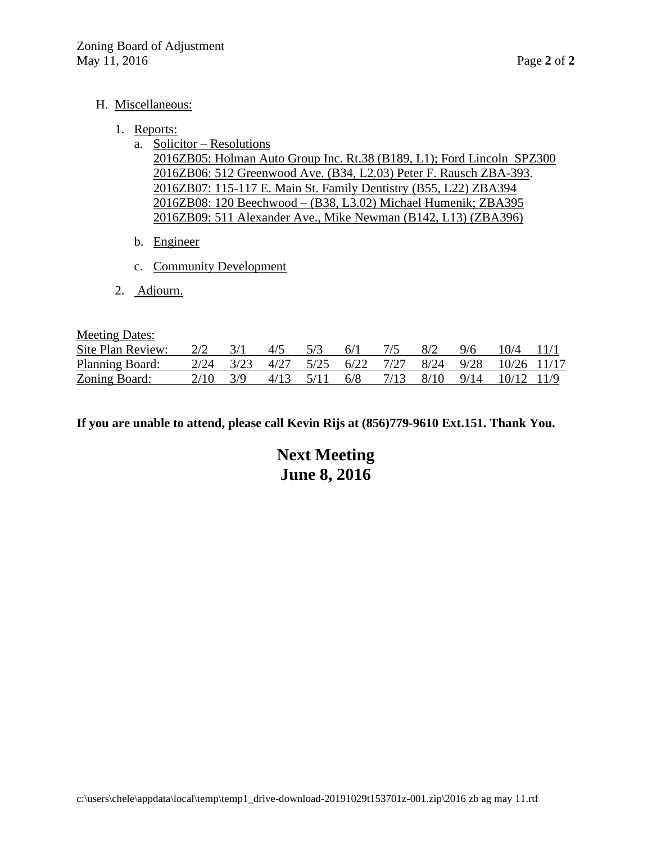#### H. Miscellaneous:

#### 1. Reports:

a. Solicitor – Resolutions

2016ZB05: Holman Auto Group Inc. Rt.38 (B189, L1); Ford Lincoln SPZ300 2016ZB06: 512 Greenwood Ave. (B34, L2.03) Peter F. Rausch ZBA-393. 2016ZB07: 115-117 E. Main St. Family Dentistry (B55, L22) ZBA394 2016ZB08: 120 Beechwood – (B38, L3.02) Michael Humenik; ZBA395 2016ZB09: 511 Alexander Ave., Mike Newman (B142, L13) (ZBA396)

- b. Engineer
- c. Community Development
- 2. Adjourn.

Meeting Dates:

| Site Plan Review:      | 2/2  | $4/5$ $5/3$   | $-6/1$ | 8/2 | 9/6 | $10/4$ 11/1                                         |  |
|------------------------|------|---------------|--------|-----|-----|-----------------------------------------------------|--|
| <b>Planning Board:</b> |      |               |        |     |     | 2/24 3/23 4/27 5/25 6/22 7/27 8/24 9/28 10/26 11/17 |  |
| <b>Zoning Board:</b>   | 2/10 | 4/13 5/11 6/8 |        |     |     | 7/13 8/10 9/14 10/12 11/9                           |  |

**If you are unable to attend, please call Kevin Rijs at (856)779-9610 Ext.151. Thank You.**

**Next Meeting June 8, 2016**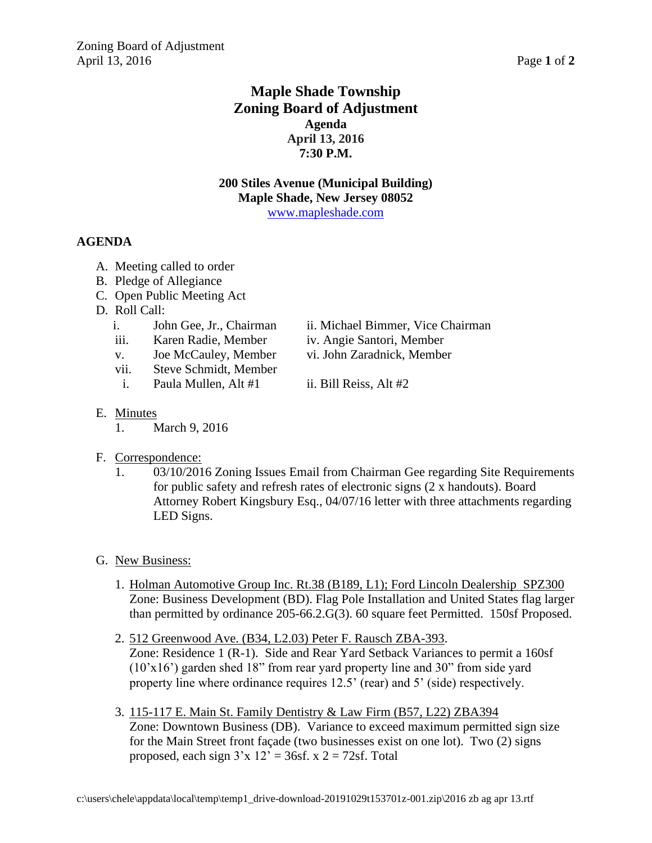# **Maple Shade Township Zoning Board of Adjustment Agenda April 13, 2016 7:30 P.M.**

**200 Stiles Avenue (Municipal Building) Maple Shade, New Jersey 08052** [www.mapleshade.com](http://www.mapleshade.com/)

### **AGENDA**

- A. Meeting called to order
- B. Pledge of Allegiance
- C. Open Public Meeting Act
- D. Roll Call:
	- i. John Gee, Jr., Chairman ii. Michael Bimmer, Vice Chairman
	- iii. Karen Radie, Member iv. Angie Santori, Member
	- v. Joe McCauley, Member vi. John Zaradnick, Member
	- vii. Steve Schmidt, Member
	- i. Paula Mullen, Alt  $#1$  ii. Bill Reiss, Alt  $#2$
- 
- 
- -

- E. Minutes
	- 1. March 9, 2016
- F. Correspondence:
	- 1. 03/10/2016 Zoning Issues Email from Chairman Gee regarding Site Requirements for public safety and refresh rates of electronic signs (2 x handouts). Board Attorney Robert Kingsbury Esq., 04/07/16 letter with three attachments regarding LED Signs.
- G. New Business:
	- 1. Holman Automotive Group Inc. Rt.38 (B189, L1); Ford Lincoln Dealership SPZ300 Zone: Business Development (BD). Flag Pole Installation and United States flag larger than permitted by ordinance 205-66.2.G(3). 60 square feet Permitted. 150sf Proposed.
	- 2. 512 Greenwood Ave. (B34, L2.03) Peter F. Rausch ZBA-393. Zone: Residence 1 (R-1). Side and Rear Yard Setback Variances to permit a 160sf  $(10'x16')$  garden shed 18" from rear yard property line and 30" from side yard property line where ordinance requires 12.5' (rear) and 5' (side) respectively.
	- 3. 115-117 E. Main St. Family Dentistry & Law Firm (B57, L22) ZBA394 Zone: Downtown Business (DB). Variance to exceed maximum permitted sign size for the Main Street front façade (two businesses exist on one lot). Two (2) signs proposed, each sign  $3'x 12' = 36sf$ .  $x 2 = 72sf$ . Total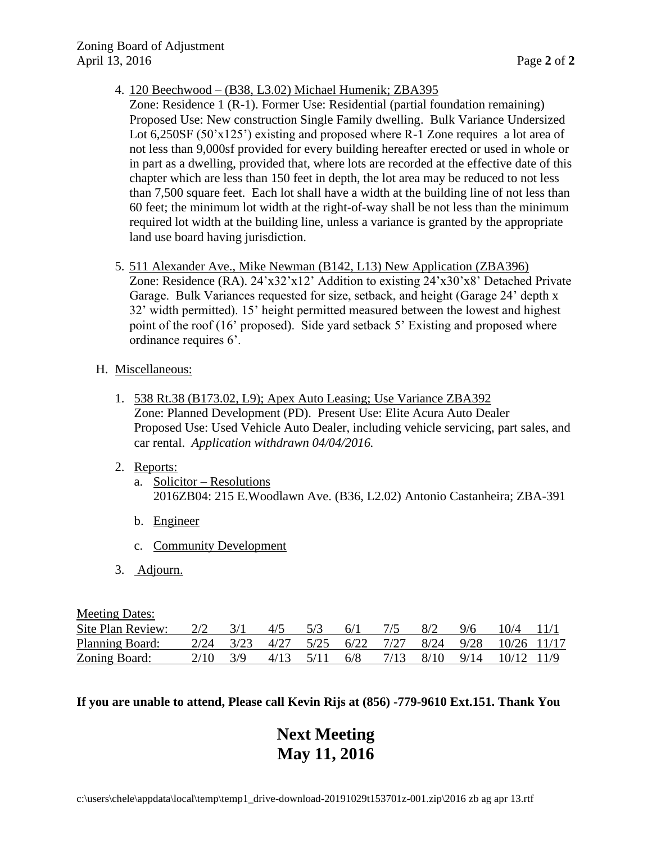- 4. 120 Beechwood (B38, L3.02) Michael Humenik; ZBA395
	- Zone: Residence 1 (R-1). Former Use: Residential (partial foundation remaining) Proposed Use: New construction Single Family dwelling. Bulk Variance Undersized Lot 6,250SF (50'x125') existing and proposed where R-1 Zone requires a lot area of not less than 9,000sf provided for every building hereafter erected or used in whole or in part as a dwelling, provided that, where lots are recorded at the effective date of this chapter which are less than 150 feet in depth, the lot area may be reduced to not less than 7,500 square feet. Each lot shall have a width at the building line of not less than 60 feet; the minimum lot width at the right-of-way shall be not less than the minimum required lot width at the building line, unless a variance is granted by the appropriate land use board having jurisdiction.
- 5. 511 Alexander Ave., Mike Newman (B142, L13) New Application (ZBA396) Zone: Residence (RA). 24'x32'x12' Addition to existing 24'x30'x8' Detached Private Garage. Bulk Variances requested for size, setback, and height (Garage 24' depth x 32' width permitted). 15' height permitted measured between the lowest and highest point of the roof (16' proposed). Side yard setback 5' Existing and proposed where ordinance requires 6'.

#### H. Miscellaneous:

- 1. 538 Rt.38 (B173.02, L9); Apex Auto Leasing; Use Variance ZBA392 Zone: Planned Development (PD). Present Use: Elite Acura Auto Dealer Proposed Use: Used Vehicle Auto Dealer, including vehicle servicing, part sales, and car rental. *Application withdrawn 04/04/2016.*
- 2. Reports:
	- a. Solicitor Resolutions 2016ZB04: 215 E.Woodlawn Ave. (B36, L2.02) Antonio Castanheira; ZBA-391
	- b. Engineer
	- c. Community Development
- 3. Adjourn.

Meeting Dates:

| Site Plan Review:    | $2/2$ $3/1$ | $4/5$ 5/3 | 6/1 | 7/5 | 8/2 | $9/6$ 10/4 11/1                                                                                                                                         |  |
|----------------------|-------------|-----------|-----|-----|-----|---------------------------------------------------------------------------------------------------------------------------------------------------------|--|
| Planning Board:      |             |           |     |     |     | $\frac{2}{24}$ $\frac{3}{23}$ $\frac{4}{27}$ $\frac{5}{25}$ $\frac{6}{22}$ $\frac{7}{27}$ $\frac{8}{24}$ $\frac{9}{28}$ $\frac{10}{26}$ $\frac{11}{17}$ |  |
| <b>Zoning Board:</b> | 2/10 3/9    |           |     |     |     | $4/13$ $5/11$ $6/8$ $7/13$ $8/10$ $9/14$ $10/12$ $11/9$                                                                                                 |  |

### **If you are unable to attend, Please call Kevin Rijs at (856) -779-9610 Ext.151. Thank You**

# **Next Meeting May 11, 2016**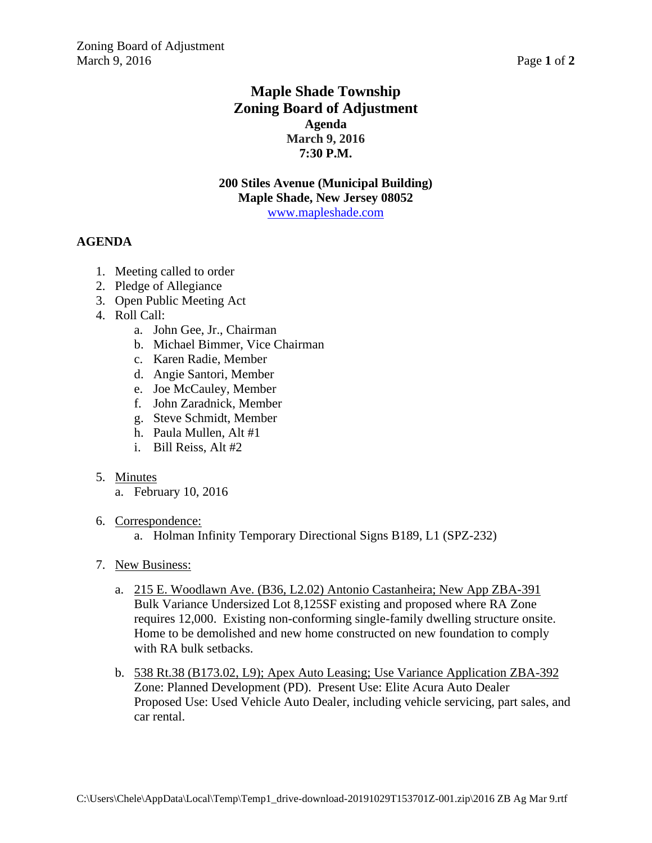# **Maple Shade Township Zoning Board of Adjustment Agenda March 9, 2016 7:30 P.M.**

**200 Stiles Avenue (Municipal Building) Maple Shade, New Jersey 08052** [www.mapleshade.com](http://www.mapleshade.com/)

## **AGENDA**

- 1. Meeting called to order
- 2. Pledge of Allegiance
- 3. Open Public Meeting Act
- 4. Roll Call:
	- a. John Gee, Jr., Chairman
	- b. Michael Bimmer, Vice Chairman
	- c. Karen Radie, Member
	- d. Angie Santori, Member
	- e. Joe McCauley, Member
	- f. John Zaradnick, Member
	- g. Steve Schmidt, Member
	- h. Paula Mullen, Alt #1
	- i. Bill Reiss, Alt #2

#### 5. Minutes

- a. February 10, 2016
- 6. Correspondence:
	- a. Holman Infinity Temporary Directional Signs B189, L1 (SPZ-232)
- 7. New Business:
	- a. 215 E. Woodlawn Ave. (B36, L2.02) Antonio Castanheira; New App ZBA-391 Bulk Variance Undersized Lot 8,125SF existing and proposed where RA Zone requires 12,000. Existing non-conforming single-family dwelling structure onsite. Home to be demolished and new home constructed on new foundation to comply with RA bulk setbacks.
	- b. 538 Rt.38 (B173.02, L9); Apex Auto Leasing; Use Variance Application ZBA-392 Zone: Planned Development (PD). Present Use: Elite Acura Auto Dealer Proposed Use: Used Vehicle Auto Dealer, including vehicle servicing, part sales, and car rental.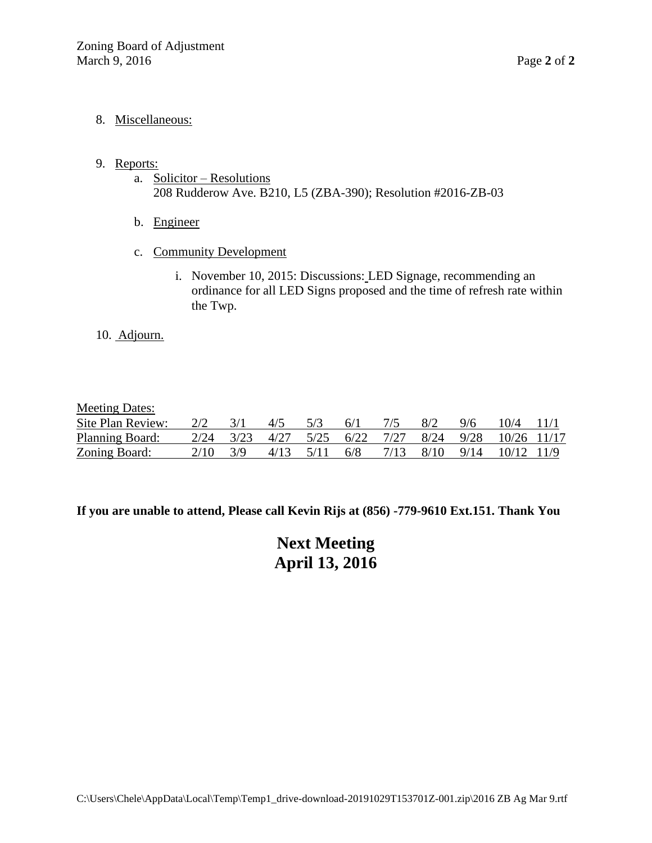#### 8. Miscellaneous:

- 9. Reports:
	- a. Solicitor Resolutions 208 Rudderow Ave. B210, L5 (ZBA-390); Resolution #2016-ZB-03
	- b. Engineer
	- c. Community Development
		- i. November 10, 2015: Discussions: LED Signage, recommending an ordinance for all LED Signs proposed and the time of refresh rate within the Twp.

#### 10. Adjourn.

#### Meeting Dates:

| Site Plan Review:    | $2/2$ $3/1$ |                  | $4/5$ 5/3 | $6/1$ $7/5$ | 8/2 | $\frac{9}{6}$ | $10/4$ 11/1                                                             |  |
|----------------------|-------------|------------------|-----------|-------------|-----|---------------|-------------------------------------------------------------------------|--|
| Planning Board:      |             |                  |           |             |     |               | $2/24$ $3/23$ $4/27$ $5/25$ $6/22$ $7/27$ $8/24$ $9/28$ $10/26$ $11/17$ |  |
| <b>Zoning Board:</b> |             | $2/10 \quad 3/9$ |           |             |     |               | 4/13 5/11 6/8 7/13 8/10 9/14 10/12 11/9                                 |  |

**If you are unable to attend, Please call Kevin Rijs at (856) -779-9610 Ext.151. Thank You**

**Next Meeting April 13, 2016**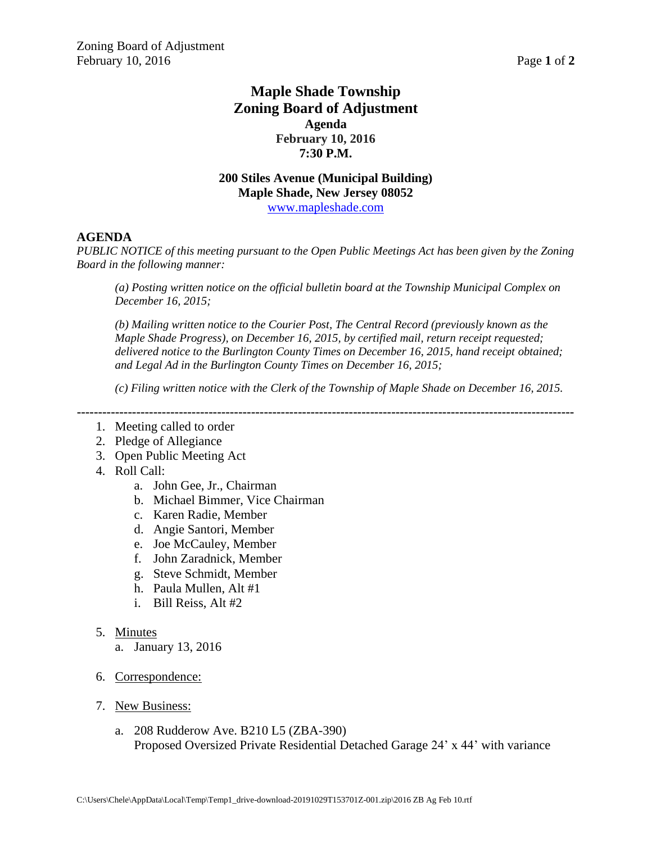## **Maple Shade Township Zoning Board of Adjustment Agenda February 10, 2016 7:30 P.M.**

# **200 Stiles Avenue (Municipal Building) Maple Shade, New Jersey 08052**

[www.mapleshade.com](http://www.mapleshade.com/)

#### **AGENDA**

*PUBLIC NOTICE of this meeting pursuant to the Open Public Meetings Act has been given by the Zoning Board in the following manner:*

*(a) Posting written notice on the official bulletin board at the Township Municipal Complex on December 16, 2015;*

*(b) Mailing written notice to the Courier Post, The Central Record (previously known as the Maple Shade Progress), on December 16, 2015, by certified mail, return receipt requested; delivered notice to the Burlington County Times on December 16, 2015, hand receipt obtained; and Legal Ad in the Burlington County Times on December 16, 2015;*

*(c) Filing written notice with the Clerk of the Township of Maple Shade on December 16, 2015.*

- 1. Meeting called to order
- 2. Pledge of Allegiance
- 3. Open Public Meeting Act
- 4. Roll Call:
	- a. John Gee, Jr., Chairman
	- b. Michael Bimmer, Vice Chairman
	- c. Karen Radie, Member
	- d. Angie Santori, Member
	- e. Joe McCauley, Member
	- f. John Zaradnick, Member
	- g. Steve Schmidt, Member
	- h. Paula Mullen, Alt #1
	- i. Bill Reiss, Alt #2
- 5. Minutes
	- a. January 13, 2016
- 6. Correspondence:
- 7. New Business:
	- a. 208 Rudderow Ave. B210 L5 (ZBA-390) Proposed Oversized Private Residential Detached Garage 24' x 44' with variance

**<sup>---------------------------------------------------------------------------------------------------------------------</sup>**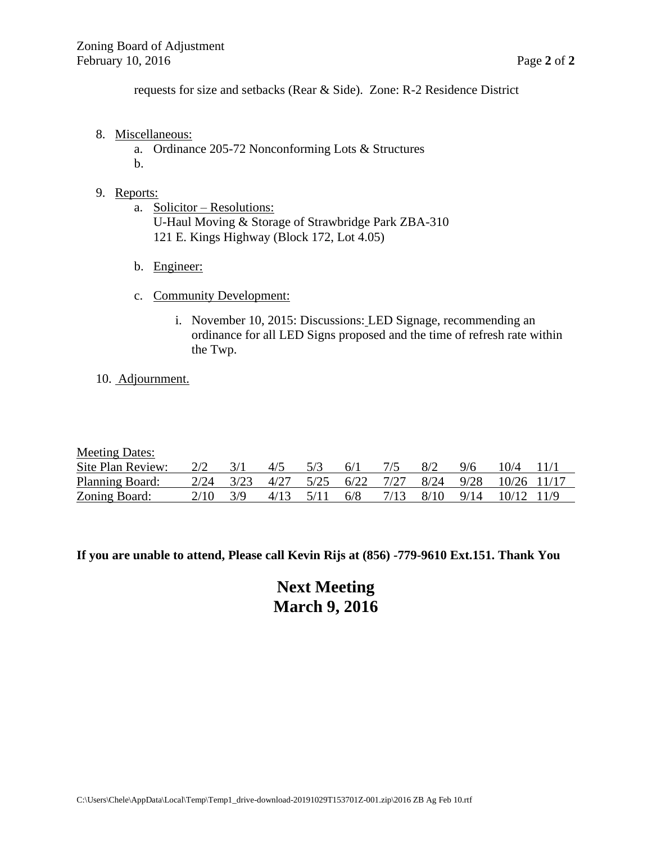requests for size and setbacks (Rear & Side). Zone: R-2 Residence District

- 8. Miscellaneous:
	- a. Ordinance 205-72 Nonconforming Lots & Structures b.

#### 9. Reports:

- a. Solicitor Resolutions: U-Haul Moving & Storage of Strawbridge Park ZBA-310 121 E. Kings Highway (Block 172, Lot 4.05)
- b. Engineer:
- c. Community Development:
	- i. November 10, 2015: Discussions: LED Signage, recommending an ordinance for all LED Signs proposed and the time of refresh rate within the Twp.

#### 10. Adjournment.

| <b>Meeting Dates:</b> |      |      |      |      |      |      |      |      |             |  |
|-----------------------|------|------|------|------|------|------|------|------|-------------|--|
| Site Plan Review:     | 2/2  |      | 4/5  | 5/3  | 6/1  |      |      | 9/6  | 10/4        |  |
| Planning Board:       | 2/24 | 3/23 | 4/27 | 5/25 | 6/22 | 7/27 | 8/24 | 9/28 | 10/26 11/17 |  |
| Zoning Board:         | 2/10 | 3/9  | 4/13 | 5/11 | 6/8  | 7/13 | 8/10 | 9/14 | 10/12 11/9  |  |

**If you are unable to attend, Please call Kevin Rijs at (856) -779-9610 Ext.151. Thank You**

**Next Meeting March 9, 2016**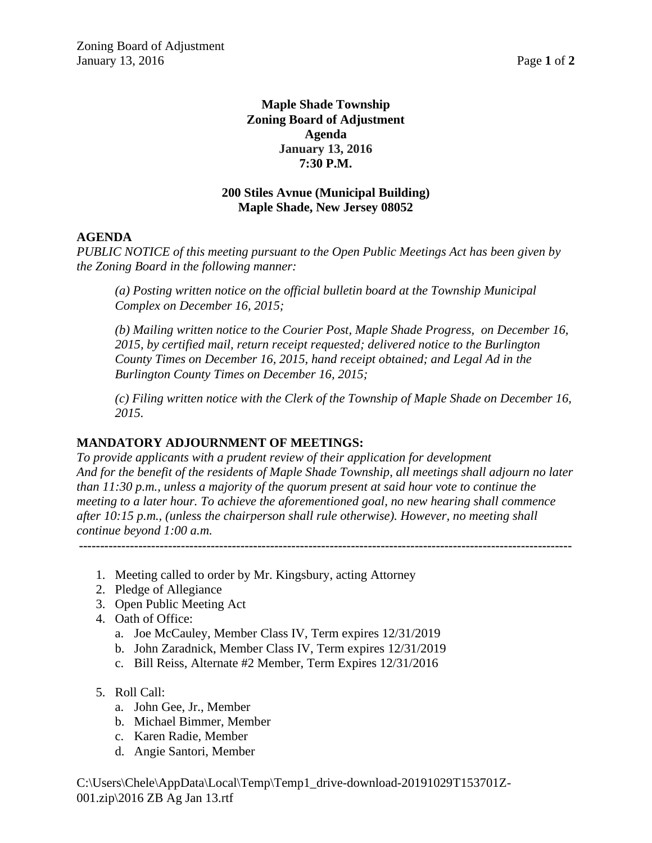## **Maple Shade Township Zoning Board of Adjustment Agenda January 13, 2016 7:30 P.M.**

## **200 Stiles Avnue (Municipal Building) Maple Shade, New Jersey 08052**

## **AGENDA**

*PUBLIC NOTICE of this meeting pursuant to the Open Public Meetings Act has been given by the Zoning Board in the following manner:*

*(a) Posting written notice on the official bulletin board at the Township Municipal Complex on December 16, 2015;*

*(b) Mailing written notice to the Courier Post, Maple Shade Progress, on December 16, 2015, by certified mail, return receipt requested; delivered notice to the Burlington County Times on December 16, 2015, hand receipt obtained; and Legal Ad in the Burlington County Times on December 16, 2015;*

*(c) Filing written notice with the Clerk of the Township of Maple Shade on December 16, 2015.*

#### **MANDATORY ADJOURNMENT OF MEETINGS:**

*To provide applicants with a prudent review of their application for development And for the benefit of the residents of Maple Shade Township, all meetings shall adjourn no later than 11:30 p.m., unless a majority of the quorum present at said hour vote to continue the meeting to a later hour. To achieve the aforementioned goal, no new hearing shall commence after 10:15 p.m., (unless the chairperson shall rule otherwise). However, no meeting shall continue beyond 1:00 a.m.*

**--------------------------------------------------------------------------------------------------------------------**

- 1. Meeting called to order by Mr. Kingsbury, acting Attorney
- 2. Pledge of Allegiance
- 3. Open Public Meeting Act
- 4. Oath of Office:
	- a. Joe McCauley, Member Class IV, Term expires 12/31/2019
	- b. John Zaradnick, Member Class IV, Term expires 12/31/2019
	- c. Bill Reiss, Alternate #2 Member, Term Expires 12/31/2016
- 5. Roll Call:
	- a. John Gee, Jr., Member
	- b. Michael Bimmer, Member
	- c. Karen Radie, Member
	- d. Angie Santori, Member

C:\Users\Chele\AppData\Local\Temp\Temp1\_drive-download-20191029T153701Z-001.zip\2016 ZB Ag Jan 13.rtf